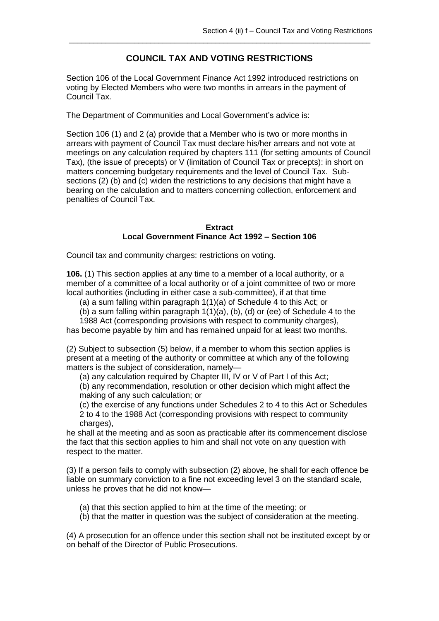## **COUNCIL TAX AND VOTING RESTRICTIONS**

\_\_\_\_\_\_\_\_\_\_\_\_\_\_\_\_\_\_\_\_\_\_\_\_\_\_\_\_\_\_\_\_\_\_\_\_\_\_\_\_\_\_\_\_\_\_\_\_\_\_\_\_\_\_\_\_\_\_\_\_\_\_\_\_\_\_\_\_\_\_\_\_\_\_

Section 106 of the Local Government Finance Act 1992 introduced restrictions on voting by Elected Members who were two months in arrears in the payment of Council Tax.

The Department of Communities and Local Government's advice is:

Section 106 (1) and 2 (a) provide that a Member who is two or more months in arrears with payment of Council Tax must declare his/her arrears and not vote at meetings on any calculation required by chapters 111 (for setting amounts of Council Tax), (the issue of precepts) or V (limitation of Council Tax or precepts): in short on matters concerning budgetary requirements and the level of Council Tax. Subsections (2) (b) and (c) widen the restrictions to any decisions that might have a bearing on the calculation and to matters concerning collection, enforcement and penalties of Council Tax.

## **Extract Local Government Finance Act 1992 – Section 106**

Council tax and community charges: restrictions on voting.

**106.** (1) This section applies at any time to a member of a local authority, or a member of a committee of a local authority or of a joint committee of two or more local authorities (including in either case a sub-committee), if at that time

(a) a sum falling within paragraph 1(1)(a) of Schedule 4 to this Act; or

(b) a sum falling within paragraph  $1(1)(a)$ , (b), (d) or (ee) of Schedule 4 to the

1988 Act (corresponding provisions with respect to community charges),

has become payable by him and has remained unpaid for at least two months.

(2) Subject to subsection (5) below, if a member to whom this section applies is present at a meeting of the authority or committee at which any of the following matters is the subject of consideration, namely—

(a) any calculation required by Chapter III, IV or V of Part I of this Act;

(b) any recommendation, resolution or other decision which might affect the making of any such calculation; or

(c) the exercise of any functions under Schedules 2 to 4 to this Act or Schedules 2 to 4 to the 1988 Act (corresponding provisions with respect to community charges),

he shall at the meeting and as soon as practicable after its commencement disclose the fact that this section applies to him and shall not vote on any question with respect to the matter.

(3) If a person fails to comply with subsection (2) above, he shall for each offence be liable on summary conviction to a fine not exceeding level 3 on the standard scale, unless he proves that he did not know—

(a) that this section applied to him at the time of the meeting; or

(b) that the matter in question was the subject of consideration at the meeting.

(4) A prosecution for an offence under this section shall not be instituted except by or on behalf of the Director of Public Prosecutions.